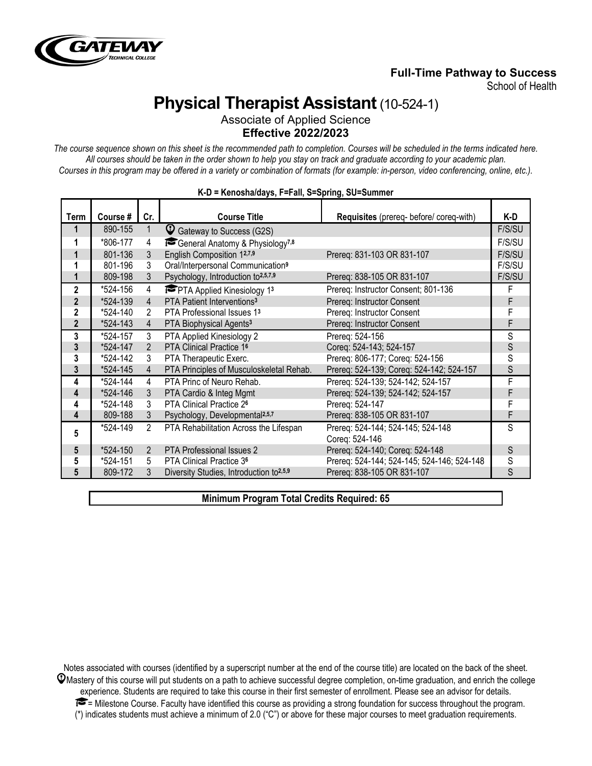

## **Full-Time Pathway to Success**

School of Health

# **Physical Therapist Assistant**(10-524-1)

Associate of Applied Science **Effective 2022/2023**

*The course sequence shown on this sheet is the recommended path to completion. Courses will be scheduled in the terms indicated here. All courses should be taken in the order shown to help you stay on track and graduate according to your academic plan. Courses in this program may be offered in a variety or combination of formats (for example: in-person, video conferencing, online, etc.).*

| Term           | Course # | Cr.            | <b>Course Title</b>                                 | Requisites (prereq- before/ coreq-with)    | K-D    |
|----------------|----------|----------------|-----------------------------------------------------|--------------------------------------------|--------|
| 1              | 890-155  | 1              | C Gateway to Success (G2S)                          |                                            | F/S/SU |
|                | *806-177 | 4              | General Anatomy & Physiology <sup>7,8</sup>         |                                            | F/S/SU |
|                | 801-136  | 3              | English Composition 12,7,9                          | Prereq: 831-103 OR 831-107                 | F/S/SU |
|                | 801-196  | 3              | Oral/Interpersonal Communication <sup>9</sup>       |                                            | F/S/SU |
|                | 809-198  | 3              | Psychology, Introduction to <sup>2,5,7,9</sup>      | Prereq: 838-105 OR 831-107                 | F/S/SU |
| $\mathbf{2}$   | *524-156 | 4              | <b>PTA Applied Kinesiology 13</b>                   | Prereq: Instructor Consent; 801-136        | F      |
| $\overline{2}$ | *524-139 | $\overline{4}$ | PTA Patient Interventions <sup>3</sup>              | Prereq: Instructor Consent                 | F      |
| $\mathbf{2}$   | *524-140 | 2              | PTA Professional Issues 13                          | Prereq: Instructor Consent                 |        |
| $\overline{2}$ | *524-143 | $\overline{4}$ | PTA Biophysical Agents <sup>3</sup>                 | Prereq: Instructor Consent                 | F      |
| 3              | *524-157 | 3              | PTA Applied Kinesiology 2                           | Prereq: 524-156                            | S      |
| 3              | *524-147 | $\overline{2}$ | PTA Clinical Practice 16                            | Coreq: 524-143; 524-157                    | S      |
| 3              | *524-142 | 3              | PTA Therapeutic Exerc.                              | Prereq: 806-177; Coreq: 524-156            | S      |
| 3              | *524-145 | $\overline{4}$ | PTA Principles of Musculoskeletal Rehab.            | Prereq: 524-139; Coreq: 524-142; 524-157   | S      |
| 4              | *524-144 | 4              | PTA Princ of Neuro Rehab.                           | Prereq: 524-139; 524-142; 524-157          | F      |
| 4              | *524-146 | 3              | PTA Cardio & Integ Mgmt                             | Prereq: 524-139; 524-142; 524-157          | F      |
| 4              | *524-148 | 3              | <b>PTA Clinical Practice 26</b>                     | Prereq: 524-147                            |        |
| 4              | 809-188  | 3              | Psychology, Developmental <sup>2,5,7</sup>          | Prereq: 838-105 OR 831-107                 | F      |
| 5              | *524-149 | $\overline{2}$ | PTA Rehabilitation Across the Lifespan              | Prereq: 524-144; 524-145; 524-148          | S      |
|                |          |                |                                                     | Coreg: 524-146                             |        |
| 5              | *524-150 | 2              | <b>PTA Professional Issues 2</b>                    | Prereq: 524-140; Coreq: 524-148            | S      |
| 5              | *524-151 | 5              | PTA Clinical Practice 3 <sup>6</sup>                | Prereq: 524-144; 524-145; 524-146; 524-148 | S      |
| 5              | 809-172  | 3              | Diversity Studies, Introduction to <sup>2,5,9</sup> | Prereg: 838-105 OR 831-107                 | S      |

#### **K-D = Kenosha/days, F=Fall, S=Spring, SU=Summer**

**Minimum Program Total Credits Required: 65**

Notes associated with courses (identified by a superscript number at the end of the course title) are located on the back of the sheet.  $\mathcal Q$ Mastery of this course will put students on a path to achieve successful degree completion, on-time graduation, and enrich the college experience. Students are required to take this course in their first semester of enrollment. Please see an advisor for details.  $\blacktriangleright$  = Milestone Course. Faculty have identified this course as providing a strong foundation for success throughout the program. (\*) indicates students must achieve a minimum of 2.0 ("C") or above for these major courses to meet graduation requirements.